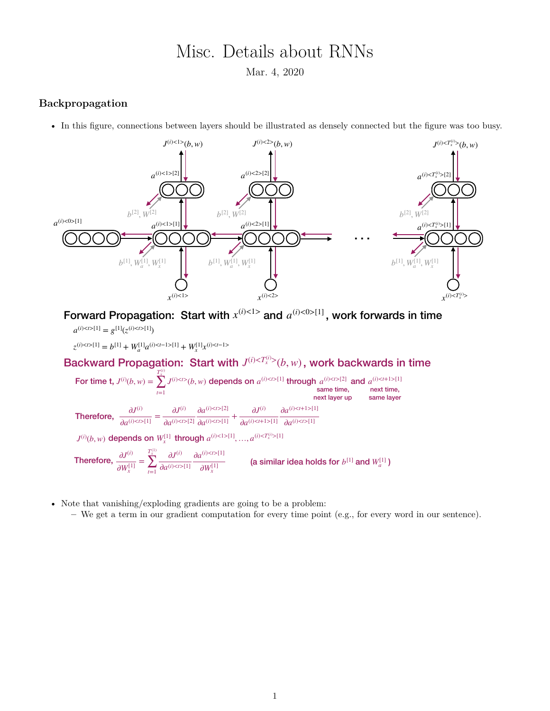## Misc. Details about RNNs

Mar. 4, 2020

## **Backpropagation**

• In this figure, connections between layers should be illustrated as densely connected but the figure was too busy.



Forward Propagation: Start with  $x^{(i) < 1>}$  and  $a^{(i) < 0> [1]}$ , work forwards in time

 $a^{(i) < t > [1]} = g^{[1]}(z^{(i) < t > [1]})$ 

 $z^{(i) < t > 1} = b^{[1]} + W_a^{[1]} a^{(i) < t-1 > 1} + W_x^{[1]} x^{(i) < t-1}$ 

Backward Propagation: Start with  $J^{(i) < T^{(i)}_{x}}(b, w)$ , work backwards in time *T*(*i*) *x*

For time t,  $J^{(i)}(b, w) = \sum_{i} J^{(i) \lt l > (b, w)}$  depends on  $a^{(i) \lt l > [1]}$  through  $a^{(i) \lt l > [2]}$  and  $\sum_{t=1}$ *J*<sup>(*i*</sup>)< $t > t$  *b*, *w*) depends on  $a^{(i) < t > [1]}$  through  $a^{(i) < t > [2]}$  and  $a^{(i) < t + 1 > [1]}$  same time, next time, ∂*J*(*i*)  $\frac{\partial J^{(i)}}{\partial a^{(i)\lt t>1}} = \frac{\partial J^{(i)}}{\partial a^{(i)\lt t}}$  $\partial a^{(i)\lt t\gt[2]}$  $\partial a^{(i) < t > [2]}$  $\frac{a}{\partial a^{(i)\lt t > [1]}} +$ ∂*J*(*i*)  $∂a^{(i) < t+1> [1]}$  $∂a^{(i) < t+1 > [1]}$ **Therefore,**  $\frac{\partial}{\partial a^{(i)} \leq t > [1]} = \frac{\partial}{\partial a^{(i)} \leq t > [2]} \frac{\partial}{\partial a^{(i)} \leq t > [1]} + \frac{\partial}{\partial a^{(i)} \leq t > [1]} \frac{\partial}{\partial a^{(i)} \leq t > [1]}$ next layer up same layer  $J^{(i)}(b,w)$  depends on  $W_x^{[1]}$  through  $a^{(i) < 1 > [1]},...,a^{(i) < T_x^{(i)} > [1]}$ ∂*J*(*i*) ∂*W*[1] *x* =  $T_x^{(1)}$ ∑ *t*=1 ∂*J*(*i*)  $∂a$ <sup>(*i*</sup>)< $t$ >[1]  $∂a$ <sup>(*i*)<*t*>[1]</sup> ∂*W*[1] *x* Therefore,  $\frac{dS}{dW^{[1]}} = \sum \frac{dS}{dQ^{(i)}\leq D[1]} \frac{dW^{[1]}}{dW^{[1]}}$  (a similar idea holds for  $b^{[1]}$  and  $W_a^{[1]}$ )

- Note that vanishing/exploding gradients are going to be a problem:
	- **–** We get a term in our gradient computation for every time point (e.g., for every word in our sentence).